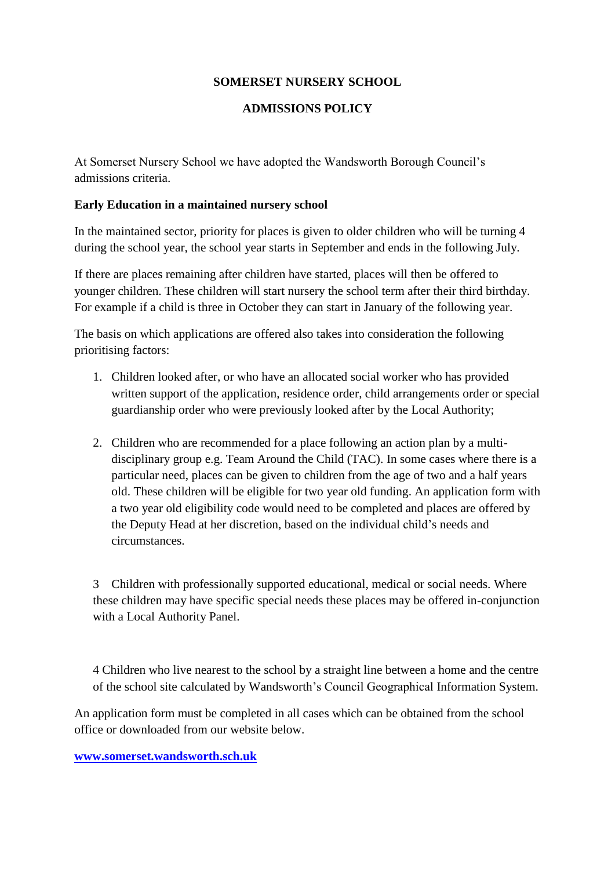# **SOMERSET NURSERY SCHOOL**

### **ADMISSIONS POLICY**

At Somerset Nursery School we have adopted the Wandsworth Borough Council's admissions criteria.

#### **Early Education in a maintained nursery school**

In the maintained sector, priority for places is given to older children who will be turning 4 during the school year, the school year starts in September and ends in the following July.

If there are places remaining after children have started, places will then be offered to younger children. These children will start nursery the school term after their third birthday. For example if a child is three in October they can start in January of the following year.

The basis on which applications are offered also takes into consideration the following prioritising factors:

- 1. Children looked after, or who have an allocated social worker who has provided written support of the application, residence order, child arrangements order or special guardianship order who were previously looked after by the Local Authority;
- 2. Children who are recommended for a place following an action plan by a multidisciplinary group e.g. Team Around the Child (TAC). In some cases where there is a particular need, places can be given to children from the age of two and a half years old. These children will be eligible for two year old funding. An application form with a two year old eligibility code would need to be completed and places are offered by the Deputy Head at her discretion, based on the individual child's needs and circumstances.

3 Children with professionally supported educational, medical or social needs. Where these children may have specific special needs these places may be offered in-conjunction with a Local Authority Panel.

4 Children who live nearest to the school by a straight line between a home and the centre of the school site calculated by Wandsworth's Council Geographical Information System.

An application form must be completed in all cases which can be obtained from the school office or downloaded from our website below.

#### **[www.somerset.wandsworth.sch.uk](http://www.somerset.wandsworth.sch.uk/)**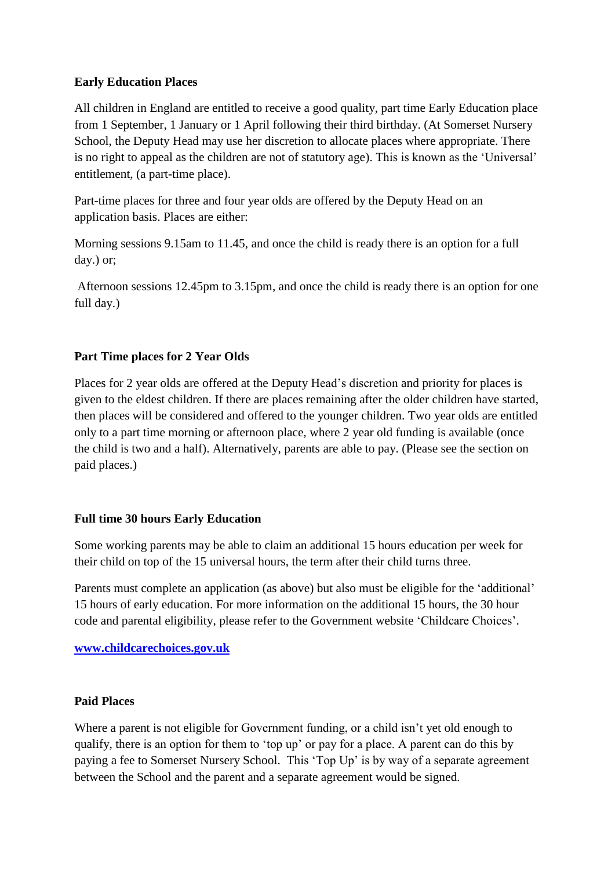### **Early Education Places**

All children in England are entitled to receive a good quality, part time Early Education place from 1 September, 1 January or 1 April following their third birthday. (At Somerset Nursery School, the Deputy Head may use her discretion to allocate places where appropriate. There is no right to appeal as the children are not of statutory age). This is known as the 'Universal' entitlement, (a part-time place).

Part-time places for three and four year olds are offered by the Deputy Head on an application basis. Places are either:

Morning sessions 9.15am to 11.45, and once the child is ready there is an option for a full day.) or;

Afternoon sessions 12.45pm to 3.15pm, and once the child is ready there is an option for one full day.)

# **Part Time places for 2 Year Olds**

Places for 2 year olds are offered at the Deputy Head's discretion and priority for places is given to the eldest children. If there are places remaining after the older children have started, then places will be considered and offered to the younger children. Two year olds are entitled only to a part time morning or afternoon place, where 2 year old funding is available (once the child is two and a half). Alternatively, parents are able to pay. (Please see the section on paid places.)

# **Full time 30 hours Early Education**

Some working parents may be able to claim an additional 15 hours education per week for their child on top of the 15 universal hours, the term after their child turns three.

Parents must complete an application (as above) but also must be eligible for the 'additional' 15 hours of early education. For more information on the additional 15 hours, the 30 hour code and parental eligibility, please refer to the Government website 'Childcare Choices'.

**[www.childcarechoices.gov.uk](http://www.childcarechoices.gov.uk/)**

# **Paid Places**

Where a parent is not eligible for Government funding, or a child isn't yet old enough to qualify, there is an option for them to 'top up' or pay for a place. A parent can do this by paying a fee to Somerset Nursery School. This 'Top Up' is by way of a separate agreement between the School and the parent and a separate agreement would be signed.